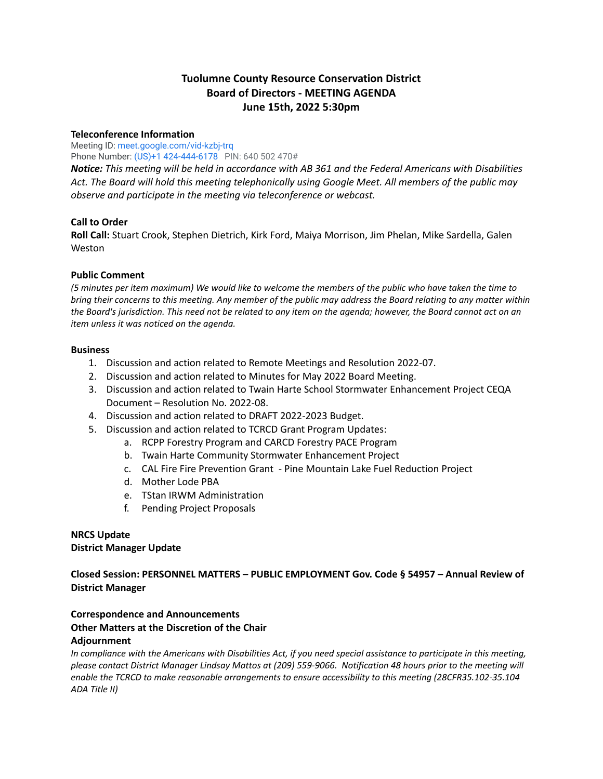# **Tuolumne County Resource Conservation District Board of Directors - MEETING AGENDA June 15th, 2022 5:30pm**

### **Teleconference Information**

Meeting ID: [meet.google.com/vid-kzbj-trq](https://meet.google.com/vid-kzbj-trq?hs=122&authuser=0) Phone Number: (US)+1 424-444-6178 PIN: 640 502 470#

*Notice: This meeting will be held in accordance with AB 361 and the Federal Americans with Disabilities Act. The Board will hold this meeting telephonically using Google Meet. All members of the public may observe and participate in the meeting via teleconference or webcast.*

### **Call to Order**

**Roll Call:** Stuart Crook, Stephen Dietrich, Kirk Ford, Maiya Morrison, Jim Phelan, Mike Sardella, Galen Weston

### **Public Comment**

(5 minutes per item maximum) We would like to welcome the members of the public who have taken the time to bring their concerns to this meeting. Any member of the public may address the Board relating to any matter within the Board's jurisdiction. This need not be related to any item on the agenda; however, the Board cannot act on an *item unless it was noticed on the agenda.*

### **Business**

- 1. Discussion and action related to Remote Meetings and Resolution 2022-07.
- 2. Discussion and action related to Minutes for May 2022 Board Meeting.
- 3. Discussion and action related to Twain Harte School Stormwater Enhancement Project CEQA Document – Resolution No. 2022-08.
- 4. Discussion and action related to DRAFT 2022-2023 Budget.
- 5. Discussion and action related to TCRCD Grant Program Updates:
	- a. RCPP Forestry Program and CARCD Forestry PACE Program
	- b. Twain Harte Community Stormwater Enhancement Project
	- c. CAL Fire Fire Prevention Grant Pine Mountain Lake Fuel Reduction Project
	- d. Mother Lode PBA
	- e. TStan IRWM Administration
	- f. Pending Project Proposals

### **NRCS Update District Manager Update**

**Closed Session: PERSONNEL MATTERS – PUBLIC EMPLOYMENT Gov. Code § 54957 – Annual Review of District Manager**

## **Correspondence and Announcements Other Matters at the Discretion of the Chair Adjournment**

In compliance with the Americans with Disabilities Act, if you need special assistance to participate in this meeting, please contact District Manager Lindsay Mattos at (209) 559-9066. Notification 48 hours prior to the meeting will *enable the TCRCD to make reasonable arrangements to ensure accessibility to this meeting (28CFR35.102-35.104 ADA Title II)*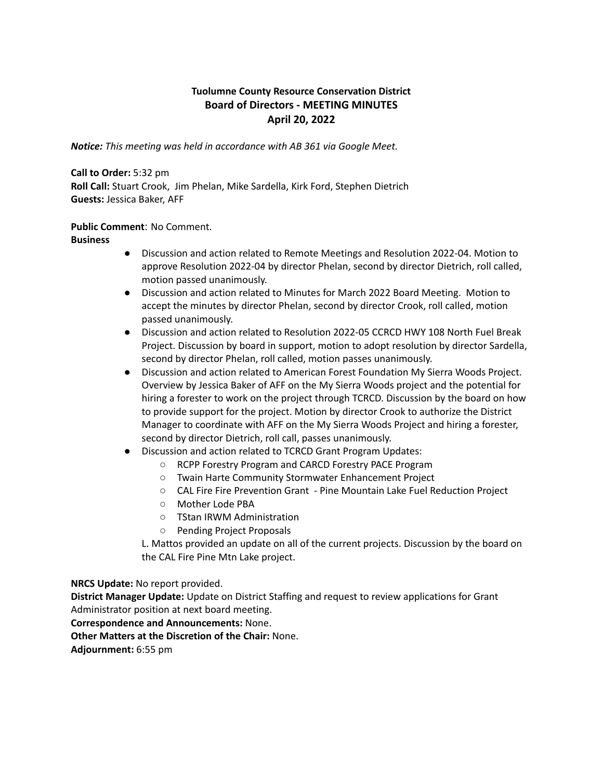# **Tuolumne County Resource Conservation District Board of Directors - MEETING MINUTES April 20, 2022**

*Notice: This meeting was held in accordance with AB 361 via Google Meet.*

**Call to Order:** 5:32 pm **Roll Call:** Stuart Crook, Jim Phelan, Mike Sardella, Kirk Ford, Stephen Dietrich **Guests:** Jessica Baker, AFF

### **Public Comment**: No Comment.

**Business**

- Discussion and action related to Remote Meetings and Resolution 2022-04. Motion to approve Resolution 2022-04 by director Phelan, second by director Dietrich, roll called, motion passed unanimously.
- Discussion and action related to Minutes for March 2022 Board Meeting. Motion to accept the minutes by director Phelan, second by director Crook, roll called, motion passed unanimously.
- Discussion and action related to Resolution 2022-05 CCRCD HWY 108 North Fuel Break Project. Discussion by board in support, motion to adopt resolution by director Sardella, second by director Phelan, roll called, motion passes unanimously.
- Discussion and action related to American Forest Foundation My Sierra Woods Project. Overview by Jessica Baker of AFF on the My Sierra Woods project and the potential for hiring a forester to work on the project through TCRCD. Discussion by the board on how to provide support for the project. Motion by director Crook to authorize the District Manager to coordinate with AFF on the My Sierra Woods Project and hiring a forester, second by director Dietrich, roll call, passes unanimously.
- Discussion and action related to TCRCD Grant Program Updates:
	- RCPP Forestry Program and CARCD Forestry PACE Program
	- Twain Harte Community Stormwater Enhancement Project
	- CAL Fire Fire Prevention Grant Pine Mountain Lake Fuel Reduction Project
	- Mother Lode PBA
	- TStan IRWM Administration
	- Pending Project Proposals

L. Mattos provided an update on all of the current projects. Discussion by the board on the CAL Fire Pine Mtn Lake project.

**NRCS Update:** No report provided.

**District Manager Update:** Update on District Staffing and request to review applications for Grant Administrator position at next board meeting.

**Correspondence and Announcements:** None.

**Other Matters at the Discretion of the Chair:** None.

**Adjournment:** 6:55 pm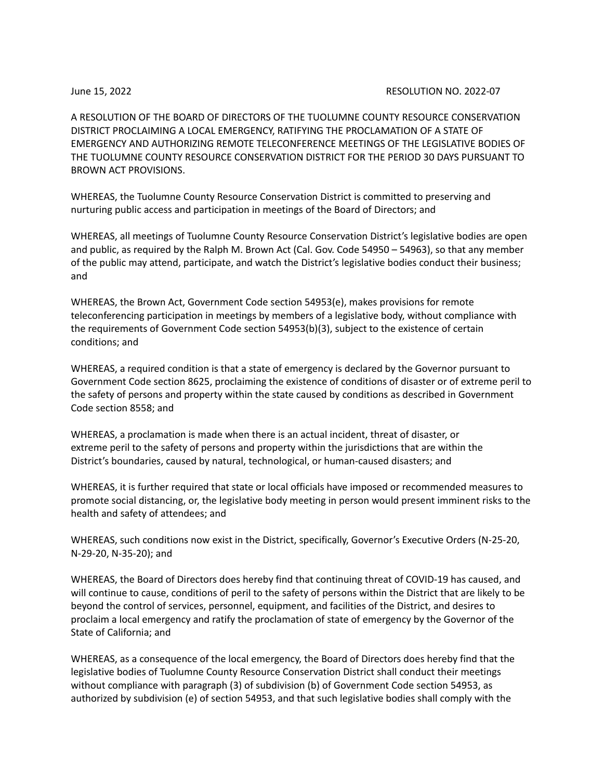### June 15, 2022 RESOLUTION NO. 2022-07

A RESOLUTION OF THE BOARD OF DIRECTORS OF THE TUOLUMNE COUNTY RESOURCE CONSERVATION DISTRICT PROCLAIMING A LOCAL EMERGENCY, RATIFYING THE PROCLAMATION OF A STATE OF EMERGENCY AND AUTHORIZING REMOTE TELECONFERENCE MEETINGS OF THE LEGISLATIVE BODIES OF THE TUOLUMNE COUNTY RESOURCE CONSERVATION DISTRICT FOR THE PERIOD 30 DAYS PURSUANT TO BROWN ACT PROVISIONS.

WHEREAS, the Tuolumne County Resource Conservation District is committed to preserving and nurturing public access and participation in meetings of the Board of Directors; and

WHEREAS, all meetings of Tuolumne County Resource Conservation District's legislative bodies are open and public, as required by the Ralph M. Brown Act (Cal. Gov. Code 54950 – 54963), so that any member of the public may attend, participate, and watch the District's legislative bodies conduct their business; and

WHEREAS, the Brown Act, Government Code section 54953(e), makes provisions for remote teleconferencing participation in meetings by members of a legislative body, without compliance with the requirements of Government Code section 54953(b)(3), subject to the existence of certain conditions; and

WHEREAS, a required condition is that a state of emergency is declared by the Governor pursuant to Government Code section 8625, proclaiming the existence of conditions of disaster or of extreme peril to the safety of persons and property within the state caused by conditions as described in Government Code section 8558; and

WHEREAS, a proclamation is made when there is an actual incident, threat of disaster, or extreme peril to the safety of persons and property within the jurisdictions that are within the District's boundaries, caused by natural, technological, or human-caused disasters; and

WHEREAS, it is further required that state or local officials have imposed or recommended measures to promote social distancing, or, the legislative body meeting in person would present imminent risks to the health and safety of attendees; and

WHEREAS, such conditions now exist in the District, specifically, Governor's Executive Orders (N-25-20, N-29-20, N-35-20); and

WHEREAS, the Board of Directors does hereby find that continuing threat of COVID-19 has caused, and will continue to cause, conditions of peril to the safety of persons within the District that are likely to be beyond the control of services, personnel, equipment, and facilities of the District, and desires to proclaim a local emergency and ratify the proclamation of state of emergency by the Governor of the State of California; and

WHEREAS, as a consequence of the local emergency, the Board of Directors does hereby find that the legislative bodies of Tuolumne County Resource Conservation District shall conduct their meetings without compliance with paragraph (3) of subdivision (b) of Government Code section 54953, as authorized by subdivision (e) of section 54953, and that such legislative bodies shall comply with the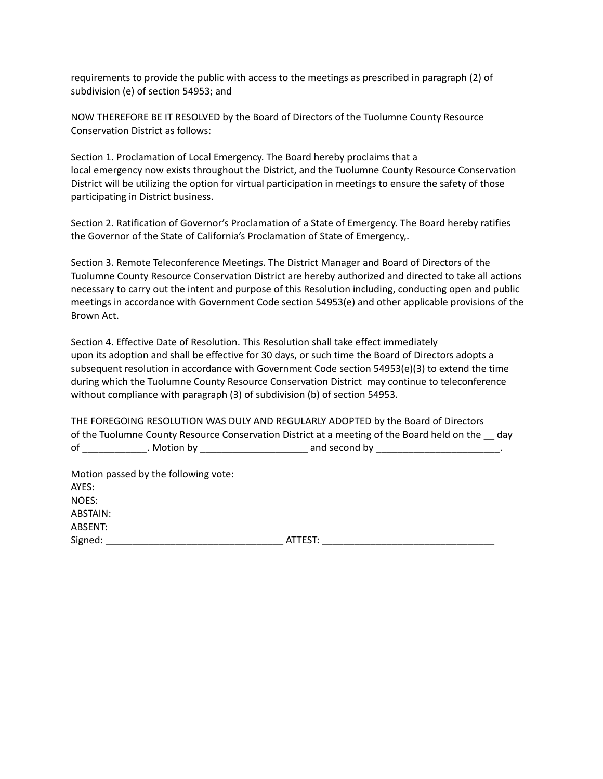requirements to provide the public with access to the meetings as prescribed in paragraph (2) of subdivision (e) of section 54953; and

NOW THEREFORE BE IT RESOLVED by the Board of Directors of the Tuolumne County Resource Conservation District as follows:

Section 1. Proclamation of Local Emergency. The Board hereby proclaims that a local emergency now exists throughout the District, and the Tuolumne County Resource Conservation District will be utilizing the option for virtual participation in meetings to ensure the safety of those participating in District business.

Section 2. Ratification of Governor's Proclamation of a State of Emergency. The Board hereby ratifies the Governor of the State of California's Proclamation of State of Emergency,.

Section 3. Remote Teleconference Meetings. The District Manager and Board of Directors of the Tuolumne County Resource Conservation District are hereby authorized and directed to take all actions necessary to carry out the intent and purpose of this Resolution including, conducting open and public meetings in accordance with Government Code section 54953(e) and other applicable provisions of the Brown Act.

Section 4. Effective Date of Resolution. This Resolution shall take effect immediately upon its adoption and shall be effective for 30 days, or such time the Board of Directors adopts a subsequent resolution in accordance with Government Code section 54953(e)(3) to extend the time during which the Tuolumne County Resource Conservation District may continue to teleconference without compliance with paragraph (3) of subdivision (b) of section 54953.

THE FOREGOING RESOLUTION WAS DULY AND REGULARLY ADOPTED by the Board of Directors of the Tuolumne County Resource Conservation District at a meeting of the Board held on the \_\_ day of \_\_\_\_\_\_\_\_\_\_\_\_. Motion by \_\_\_\_\_\_\_\_\_\_\_\_\_\_\_\_\_\_\_\_ and second by \_\_\_\_\_\_\_\_\_\_\_\_\_\_\_\_\_\_\_\_\_\_\_.

Motion passed by the following vote: AYES: NOES: ABSTAIN: ABSENT: Signed: \_\_\_\_\_\_\_\_\_\_\_\_\_\_\_\_\_\_\_\_\_\_\_\_\_\_\_\_\_\_\_\_\_ ATTEST: \_\_\_\_\_\_\_\_\_\_\_\_\_\_\_\_\_\_\_\_\_\_\_\_\_\_\_\_\_\_\_\_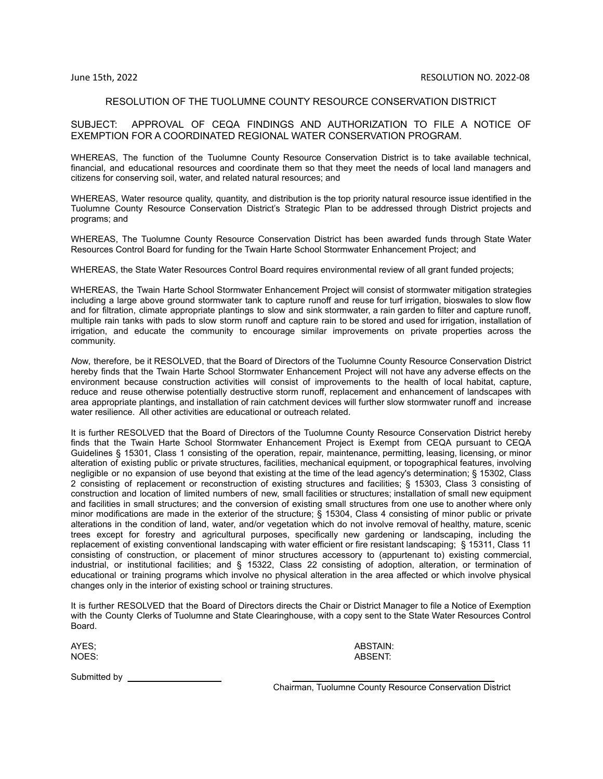### RESOLUTION OF THE TUOLUMNE COUNTY RESOURCE CONSERVATION DISTRICT

### SUBJECT: APPROVAL OF CEQA FINDINGS AND AUTHORIZATION TO FILE A NOTICE OF EXEMPTION FOR A COORDINATED REGIONAL WATER CONSERVATION PROGRAM.

WHEREAS, The function of the Tuolumne County Resource Conservation District is to take available technical, financial, and educational resources and coordinate them so that they meet the needs of local land managers and citizens for conserving soil, water, and related natural resources; and

WHEREAS, Water resource quality, quantity, and distribution is the top priority natural resource issue identified in the Tuolumne County Resource Conservation District's Strategic Plan to be addressed through District projects and programs; and

WHEREAS, The Tuolumne County Resource Conservation District has been awarded funds through State Water Resources Control Board for funding for the Twain Harte School Stormwater Enhancement Project; and

WHEREAS, the State Water Resources Control Board requires environmental review of all grant funded projects;

WHEREAS, the Twain Harte School Stormwater Enhancement Project will consist of stormwater mitigation strategies including a large above ground stormwater tank to capture runoff and reuse for turf irrigation, bioswales to slow flow and for filtration, climate appropriate plantings to slow and sink stormwater, a rain garden to filter and capture runoff, multiple rain tanks with pads to slow storm runoff and capture rain to be stored and used for irrigation, installation of irrigation, and educate the community to encourage similar improvements on private properties across the community.

*N*ow, therefore, be it RESOLVED, that the Board of Directors of the Tuolumne County Resource Conservation District hereby finds that the Twain Harte School Stormwater Enhancement Project will not have any adverse effects on the environment because construction activities will consist of improvements to the health of local habitat, capture, reduce and reuse otherwise potentially destructive storm runoff, replacement and enhancement of landscapes with area appropriate plantings, and installation of rain catchment devices will further slow stormwater runoff and increase water resilience. All other activities are educational or outreach related.

It is further RESOLVED that the Board of Directors of the Tuolumne County Resource Conservation District hereby finds that the Twain Harte School Stormwater Enhancement Project is Exempt from CEQA pursuant to CEQA Guidelines § 15301, Class 1 consisting of the operation, repair, maintenance, permitting, leasing, licensing, or minor alteration of existing public or private structures, facilities, mechanical equipment, or topographical features, involving negligible or no expansion of use beyond that existing at the time of the lead agency's determination; § 15302, Class 2 consisting of replacement or reconstruction of existing structures and facilities; § 15303, Class 3 consisting of construction and location of limited numbers of new, small facilities or structures; installation of small new equipment and facilities in small structures; and the conversion of existing small structures from one use to another where only minor modifications are made in the exterior of the structure; § 15304, Class 4 consisting of minor public or private alterations in the condition of land, water, and/or vegetation which do not involve removal of healthy, mature, scenic trees except for forestry and agricultural purposes, specifically new gardening or landscaping, including the replacement of existing conventional landscaping with water efficient or fire resistant landscaping; § 15311, Class 11 consisting of construction, or placement of minor structures accessory to (appurtenant to) existing commercial, industrial, or institutional facilities; and § 15322, Class 22 consisting of adoption, alteration, or termination of educational or training programs which involve no physical alteration in the area affected or which involve physical changes only in the interior of existing school or training structures.

It is further RESOLVED that the Board of Directors directs the Chair or District Manager to file a Notice of Exemption with the County Clerks of Tuolumne and State Clearinghouse, with a copy sent to the State Water Resources Control Board.

AYES; ABSTAIN: <br>NOES: ABSENT: NOES: ABSENT:

Submitted by \_\_\_\_\_\_\_\_\_\_\_\_\_\_\_\_\_\_\_ \_\_\_\_\_\_\_\_\_\_\_\_\_\_\_\_\_\_\_\_\_\_\_\_\_\_\_\_\_\_\_\_\_\_\_\_\_\_\_\_\_

Chairman, Tuolumne County Resource Conservation District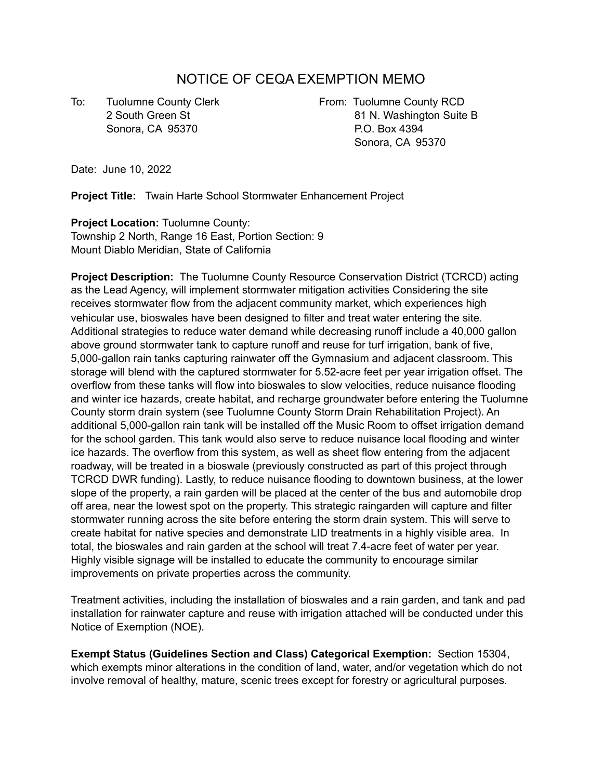# NOTICE OF CEQA EXEMPTION MEMO

Sonora, CA 95370 **P.O. Box 4394** 

To: Tuolumne County Clerk **From: Tuolumne County RCD** 2 South Green St 81 N. Washington Suite B Sonora, CA 95370

Date: June 10, 2022

**Project Title:** Twain Harte School Stormwater Enhancement Project

**Project Location:** Tuolumne County: Township 2 North, Range 16 East, Portion Section: 9 Mount Diablo Meridian, State of California

**Project Description:** The Tuolumne County Resource Conservation District (TCRCD) acting as the Lead Agency, will implement stormwater mitigation activities Considering the site receives stormwater flow from the adjacent community market, which experiences high vehicular use, bioswales have been designed to filter and treat water entering the site. Additional strategies to reduce water demand while decreasing runoff include a 40,000 gallon above ground stormwater tank to capture runoff and reuse for turf irrigation, bank of five, 5,000-gallon rain tanks capturing rainwater off the Gymnasium and adjacent classroom. This storage will blend with the captured stormwater for 5.52-acre feet per year irrigation offset. The overflow from these tanks will flow into bioswales to slow velocities, reduce nuisance flooding and winter ice hazards, create habitat, and recharge groundwater before entering the Tuolumne County storm drain system (see Tuolumne County Storm Drain Rehabilitation Project). An additional 5,000-gallon rain tank will be installed off the Music Room to offset irrigation demand for the school garden. This tank would also serve to reduce nuisance local flooding and winter ice hazards. The overflow from this system, as well as sheet flow entering from the adjacent roadway, will be treated in a bioswale (previously constructed as part of this project through TCRCD DWR funding). Lastly, to reduce nuisance flooding to downtown business, at the lower slope of the property, a rain garden will be placed at the center of the bus and automobile drop off area, near the lowest spot on the property. This strategic raingarden will capture and filter stormwater running across the site before entering the storm drain system. This will serve to create habitat for native species and demonstrate LID treatments in a highly visible area. In total, the bioswales and rain garden at the school will treat 7.4-acre feet of water per year. Highly visible signage will be installed to educate the community to encourage similar improvements on private properties across the community.

Treatment activities, including the installation of bioswales and a rain garden, and tank and pad installation for rainwater capture and reuse with irrigation attached will be conducted under this Notice of Exemption (NOE).

**Exempt Status (Guidelines Section and Class) Categorical Exemption:** Section 15304, which exempts minor alterations in the condition of land, water, and/or vegetation which do not involve removal of healthy, mature, scenic trees except for forestry or agricultural purposes.